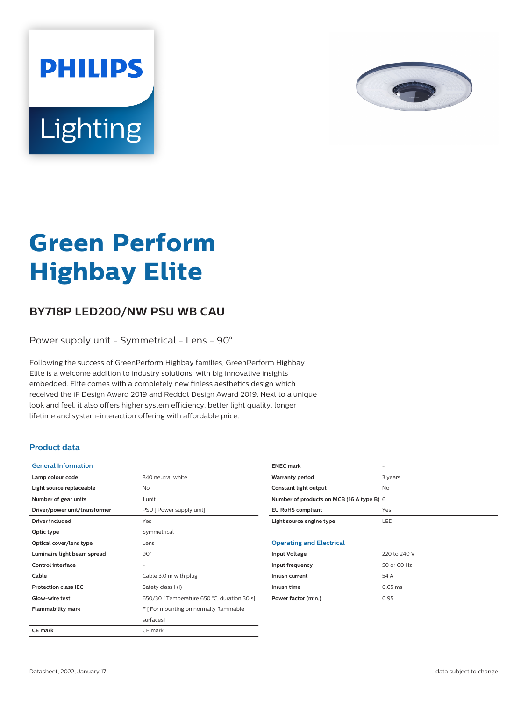

# Lighting

**PHILIPS** 

# **Green Perform Highbay Elite**

## **BY718P LED200/NW PSU WB CAU**

Power supply unit - Symmetrical - Lens - 90°

Following the success of GreenPerform Highbay families, GreenPerform Highbay Elite is a welcome addition to industry solutions, with big innovative insights embedded. Elite comes with a completely new finless aesthetics design which received the iF Design Award 2019 and Reddot Design Award 2019. Next to a unique look and feel, it also offers higher system efficiency, better light quality, longer lifetime and system-interaction offering with affordable price.

#### **Product data**

| <b>General Information</b>    |                                             |
|-------------------------------|---------------------------------------------|
| Lamp colour code              | 840 neutral white                           |
| Light source replaceable      | Nο                                          |
| Number of gear units          | 1 unit                                      |
| Driver/power unit/transformer | PSU [ Power supply unit]                    |
| Driver included               | Yes                                         |
| Optic type                    | Symmetrical                                 |
| Optical cover/lens type       | Lens                                        |
| Luminaire light beam spread   | $90^\circ$                                  |
| Control interface             |                                             |
| Cable                         | Cable 3.0 m with plug                       |
| <b>Protection class IEC</b>   | Safety class I (I)                          |
| Glow-wire test                | 650/30 [ Temperature 650 °C, duration 30 s] |
| <b>Flammability mark</b>      | F [ For mounting on normally flammable      |
|                               | surfaces]                                   |
| <b>CE mark</b>                | CE mark                                     |

| <b>ENEC mark</b>                          |              |  |
|-------------------------------------------|--------------|--|
| <b>Warranty period</b>                    | 3 years      |  |
| Constant light output                     | No           |  |
| Number of products on MCB (16 A type B) 6 |              |  |
| <b>EU RoHS compliant</b>                  | Yes          |  |
| Light source engine type                  | LED          |  |
|                                           |              |  |
| <b>Operating and Electrical</b>           |              |  |
| <b>Input Voltage</b>                      | 220 to 240 V |  |
| Input frequency                           | 50 or 60 Hz  |  |
| Inrush current                            | 54 A         |  |
| Inrush time                               | $0.65$ ms    |  |
| Power factor (min.)                       | 0.95         |  |
|                                           |              |  |